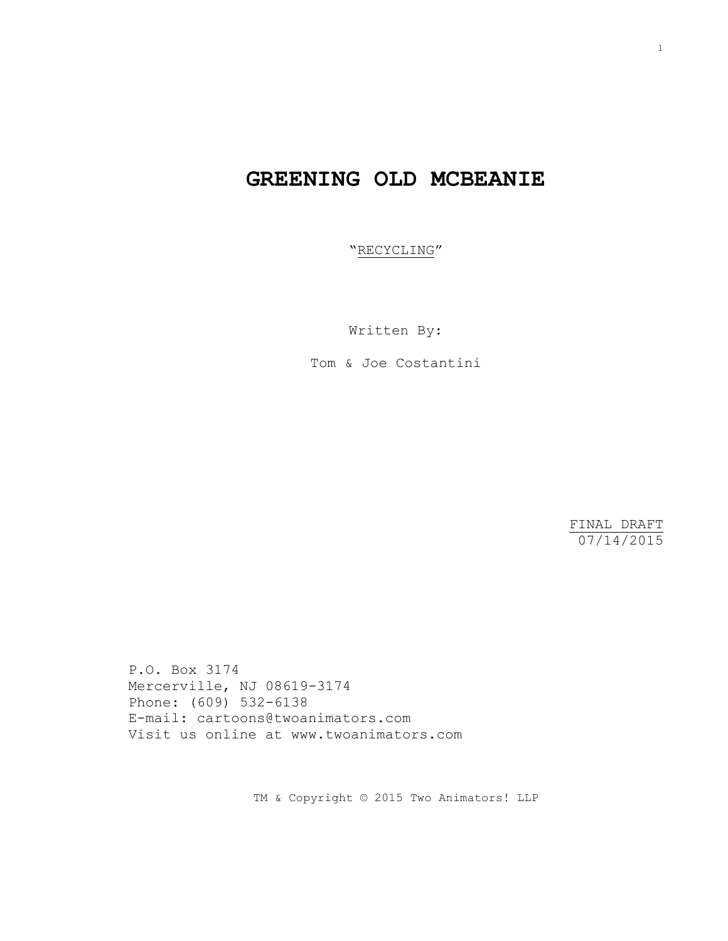# **GREENING OLD MCBEANIE**

"RECYCLING"

Written By:

Tom & Joe Costantini

FINAL DRAFT 07/14/2015

P.O. Box 3174 Mercerville, NJ 08619-3174 Phone: (609) 532-6138 E-mail: cartoons@twoanimators.com Visit us online at www.twoanimators.com

TM & Copyright © 2015 Two Animators! LLP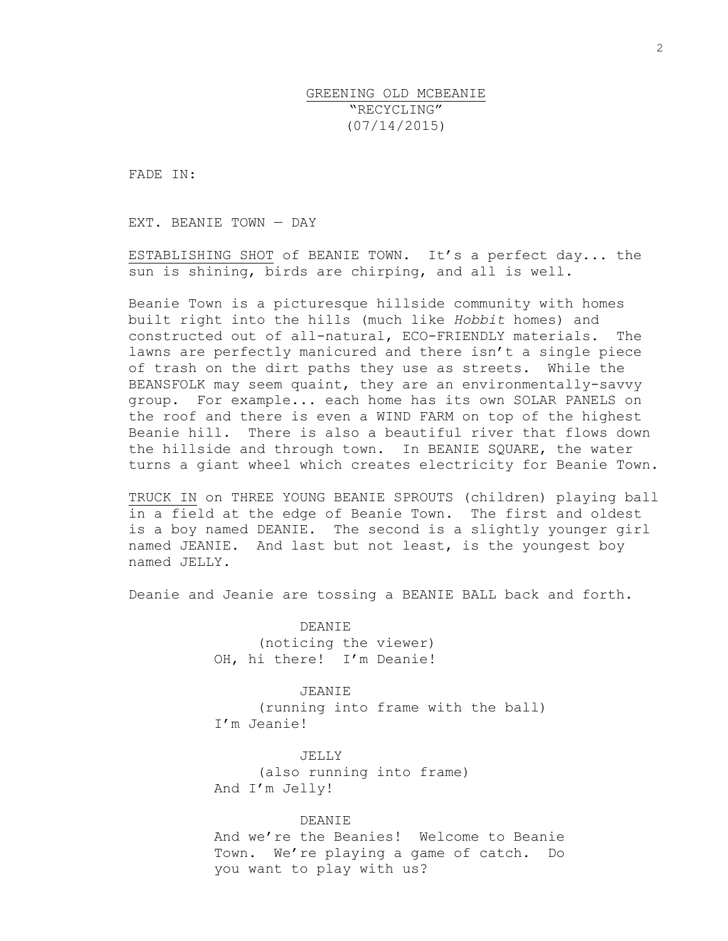# GREENING OLD MCBEANIE "RECYCLING" (07/14/2015)

FADE IN:

EXT. BEANIE TOWN — DAY

ESTABLISHING SHOT of BEANIE TOWN. It's a perfect day... the sun is shining, birds are chirping, and all is well.

Beanie Town is a picturesque hillside community with homes built right into the hills (much like *Hobbit* homes) and constructed out of all-natural, ECO-FRIENDLY materials. The lawns are perfectly manicured and there isn't a single piece of trash on the dirt paths they use as streets. While the BEANSFOLK may seem quaint, they are an environmentally-savvy group. For example... each home has its own SOLAR PANELS on the roof and there is even a WIND FARM on top of the highest Beanie hill. There is also a beautiful river that flows down the hillside and through town. In BEANIE SQUARE, the water turns a giant wheel which creates electricity for Beanie Town.

TRUCK IN on THREE YOUNG BEANIE SPROUTS (children) playing ball in a field at the edge of Beanie Town. The first and oldest is a boy named DEANIE. The second is a slightly younger girl named JEANIE. And last but not least, is the youngest boy named JELLY.

Deanie and Jeanie are tossing a BEANIE BALL back and forth.

DEANIE (noticing the viewer) OH, hi there! I'm Deanie!

JEANIE (running into frame with the ball) I'm Jeanie!

JELLY (also running into frame) And I'm Jelly!

DEANIE

And we're the Beanies! Welcome to Beanie Town. We're playing a game of catch. Do you want to play with us?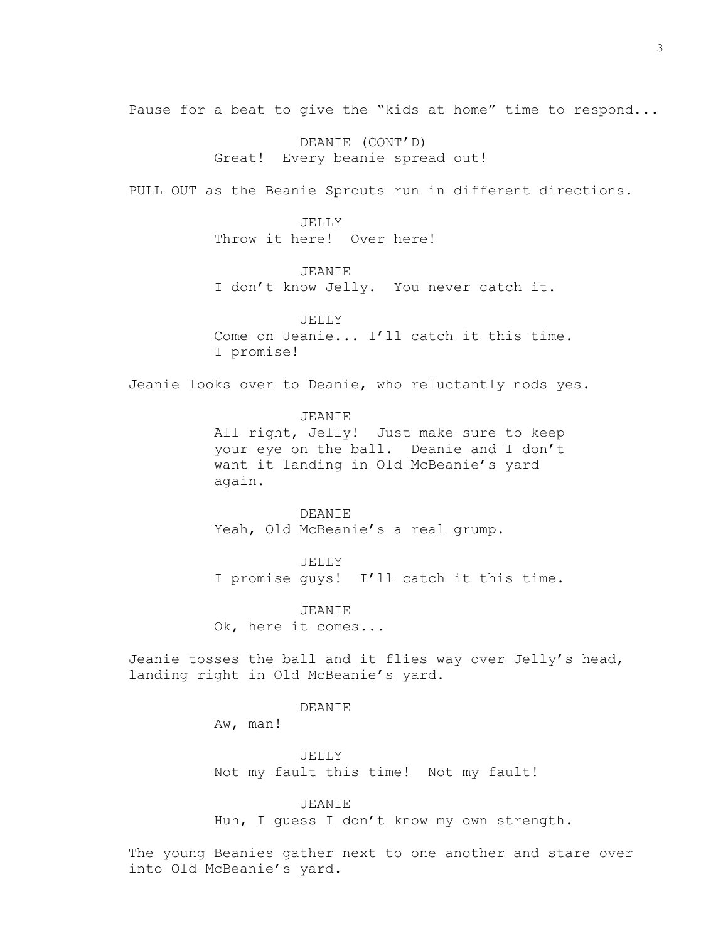Pause for a beat to give the "kids at home" time to respond...

DEANIE (CONT'D) Great! Every beanie spread out!

PULL OUT as the Beanie Sprouts run in different directions.

JELLY Throw it here! Over here!

JEANIE I don't know Jelly. You never catch it.

JELLY Come on Jeanie... I'll catch it this time. I promise!

Jeanie looks over to Deanie, who reluctantly nods yes.

### JEANIE

All right, Jelly! Just make sure to keep your eye on the ball. Deanie and I don't want it landing in Old McBeanie's yard again.

DEANIE Yeah, Old McBeanie's a real grump.

JELLY I promise guys! I'll catch it this time.

JEANIE Ok, here it comes...

Jeanie tosses the ball and it flies way over Jelly's head, landing right in Old McBeanie's yard.

## DEANIE

Aw, man!

JELLY Not my fault this time! Not my fault!

### JEANIE

Huh, I guess I don't know my own strength.

The young Beanies gather next to one another and stare over into Old McBeanie's yard.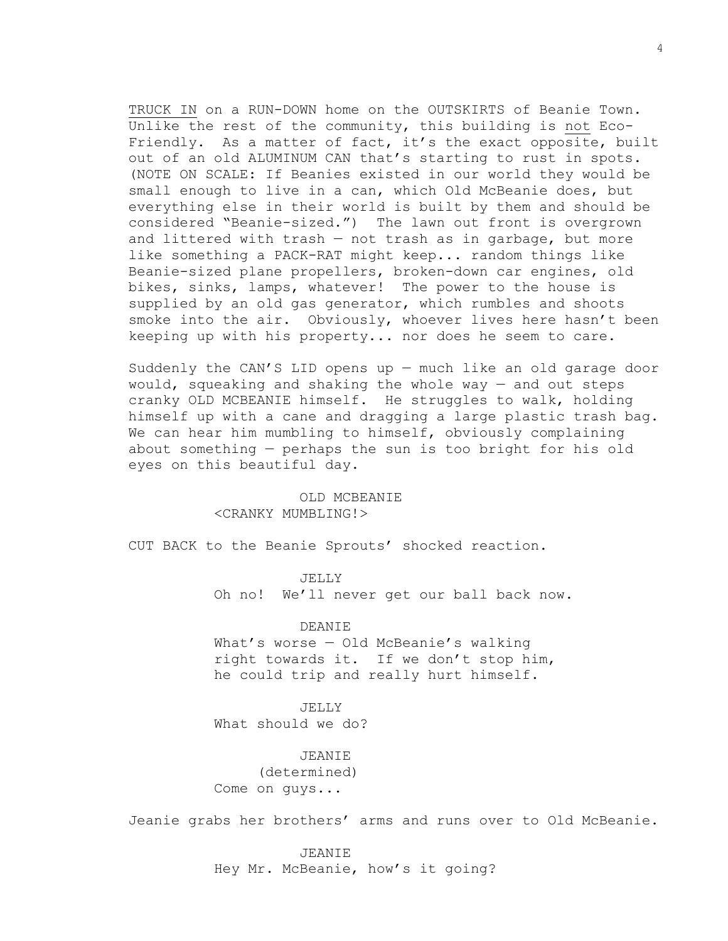TRUCK IN on a RUN-DOWN home on the OUTSKIRTS of Beanie Town. Unlike the rest of the community, this building is not Eco-Friendly. As a matter of fact, it's the exact opposite, built out of an old ALUMINUM CAN that's starting to rust in spots. (NOTE ON SCALE: If Beanies existed in our world they would be small enough to live in a can, which Old McBeanie does, but everything else in their world is built by them and should be considered "Beanie-sized.") The lawn out front is overgrown and littered with trash — not trash as in garbage, but more like something a PACK-RAT might keep... random things like Beanie-sized plane propellers, broken-down car engines, old bikes, sinks, lamps, whatever! The power to the house is supplied by an old gas generator, which rumbles and shoots smoke into the air. Obviously, whoever lives here hasn't been keeping up with his property... nor does he seem to care.

Suddenly the CAN'S LID opens up — much like an old garage door would, squeaking and shaking the whole way — and out steps cranky OLD MCBEANIE himself. He struggles to walk, holding himself up with a cane and dragging a large plastic trash bag. We can hear him mumbling to himself, obviously complaining about something — perhaps the sun is too bright for his old eyes on this beautiful day.

# OLD MCBEANIE <CRANKY MUMBLING!>

CUT BACK to the Beanie Sprouts' shocked reaction.

JELLY

Oh no! We'll never get our ball back now.

DEANIE

What's worse — Old McBeanie's walking right towards it. If we don't stop him, he could trip and really hurt himself.

JELLY What should we do?

JEANIE (determined) Come on guys...

Jeanie grabs her brothers' arms and runs over to Old McBeanie.

JEANIE Hey Mr. McBeanie, how's it going?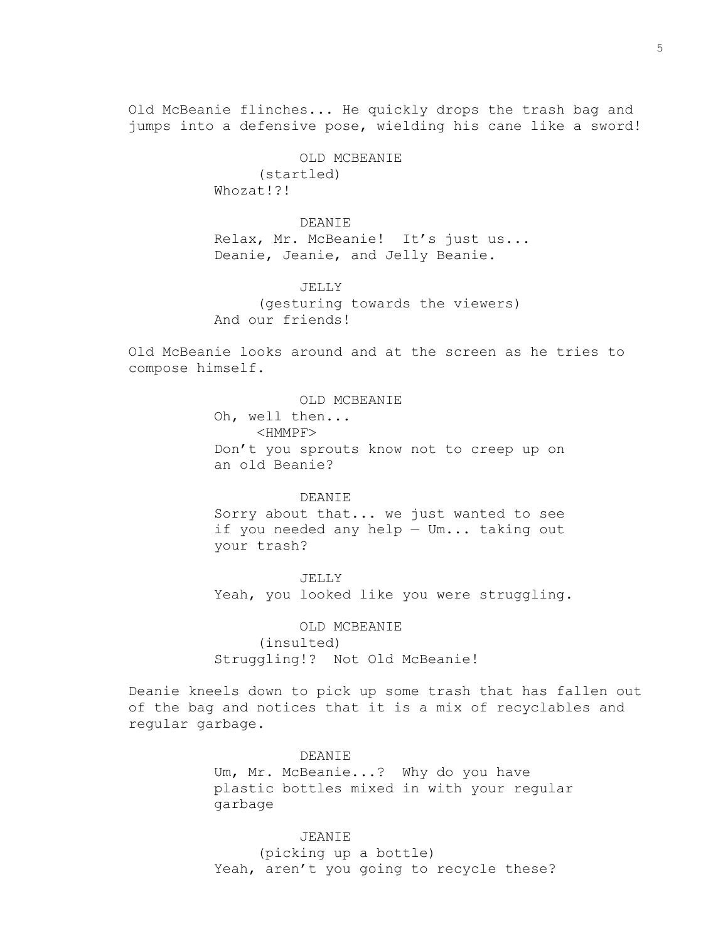Old McBeanie flinches... He quickly drops the trash bag and jumps into a defensive pose, wielding his cane like a sword!

> OLD MCBEANIE (startled) Whozat!?!

DEANIE Relax, Mr. McBeanie! It's just us... Deanie, Jeanie, and Jelly Beanie.

JELLY (gesturing towards the viewers) And our friends!

Old McBeanie looks around and at the screen as he tries to compose himself.

> OLD MCBEANIE Oh, well then... <HMMPF> Don't you sprouts know not to creep up on an old Beanie?

> DEANIE Sorry about that... we just wanted to see if you needed any help — Um... taking out your trash?

JELLY Yeah, you looked like you were struggling.

OLD MCBEANIE (insulted) Struggling!? Not Old McBeanie!

Deanie kneels down to pick up some trash that has fallen out of the bag and notices that it is a mix of recyclables and regular garbage.

> DEANIE Um, Mr. McBeanie...? Why do you have plastic bottles mixed in with your regular garbage

JEANIE (picking up a bottle) Yeah, aren't you going to recycle these?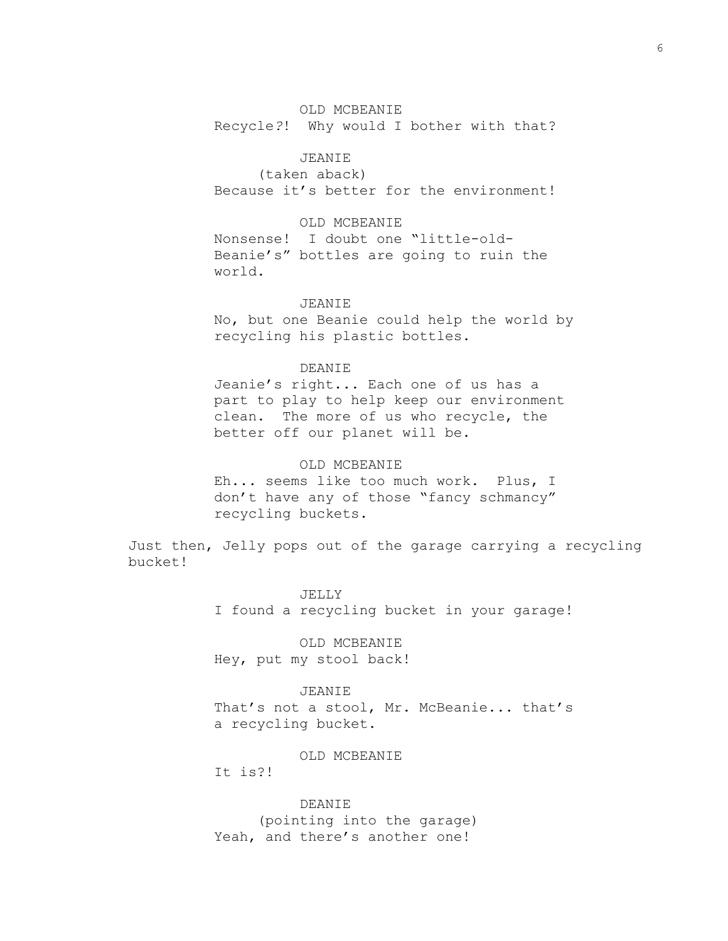# OLD MCBEANIE

Recycle*?*! Why would I bother with that?

# JEANIE

(taken aback) Because it's better for the environment!

## OLD MCBEANIE

Nonsense! I doubt one "little-old-Beanie's" bottles are going to ruin the world.

### JEANIE

No, but one Beanie could help the world by recycling his plastic bottles.

### DEANIE

Jeanie's right... Each one of us has a part to play to help keep our environment clean. The more of us who recycle, the better off our planet will be.

# OLD MCBEANIE

Eh... seems like too much work. Plus, I don't have any of those "fancy schmancy" recycling buckets.

Just then, Jelly pops out of the garage carrying a recycling bucket!

> JELLY I found a recycling bucket in your garage!

# OLD MCBEANIE

Hey, put my stool back!

### JEANIE

That's not a stool, Mr. McBeanie... that's a recycling bucket.

#### OLD MCBEANIE

It is?!

DEANIE (pointing into the garage) Yeah, and there's another one!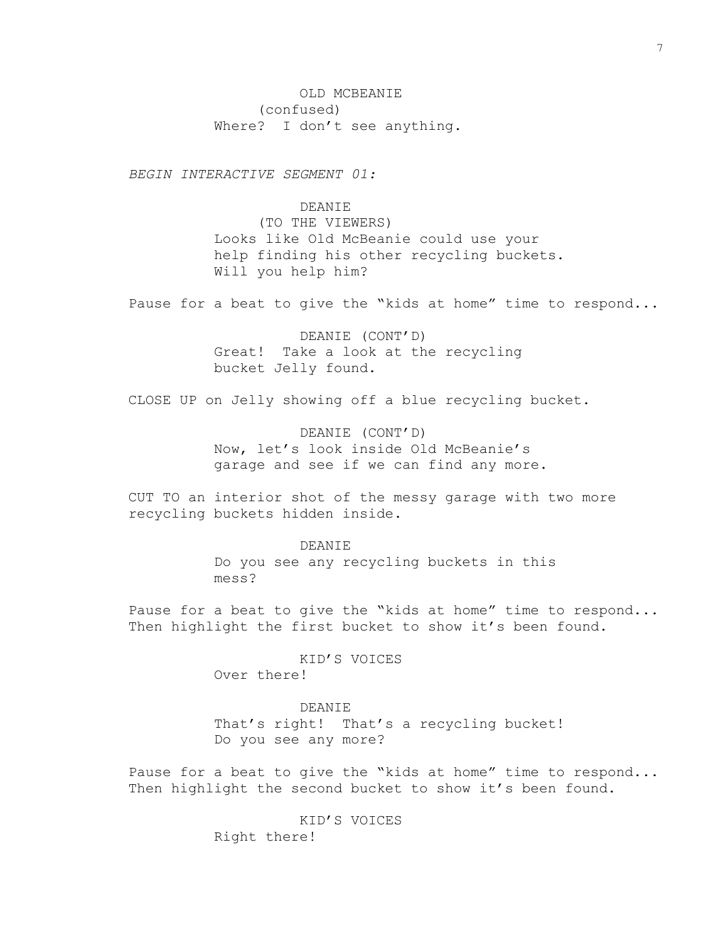OLD MCBEANIE (confused) Where? I don't see anything.

*BEGIN INTERACTIVE SEGMENT 01:*

DEANIE

(TO THE VIEWERS) Looks like Old McBeanie could use your help finding his other recycling buckets. Will you help him?

Pause for a beat to give the "kids at home" time to respond...

DEANIE (CONT'D) Great! Take a look at the recycling bucket Jelly found.

CLOSE UP on Jelly showing off a blue recycling bucket.

DEANIE (CONT'D) Now, let's look inside Old McBeanie's garage and see if we can find any more.

CUT TO an interior shot of the messy garage with two more recycling buckets hidden inside.

> DEANIE Do you see any recycling buckets in this mess?

Pause for a beat to give the "kids at home" time to respond... Then highlight the first bucket to show it's been found.

> KID'S VOICES Over there!

DEANIE That's right! That's a recycling bucket! Do you see any more?

Pause for a beat to give the "kids at home" time to respond... Then highlight the second bucket to show it's been found.

> KID'S VOICES Right there!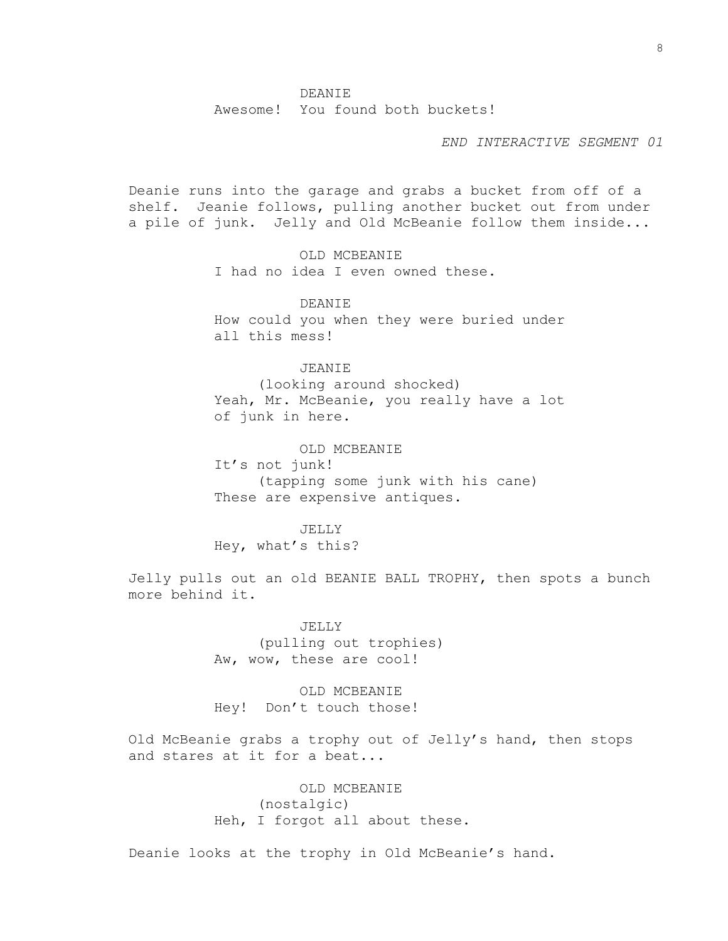Awesome! You found both buckets!

*END INTERACTIVE SEGMENT 01*

Deanie runs into the garage and grabs a bucket from off of a shelf. Jeanie follows, pulling another bucket out from under a pile of junk. Jelly and Old McBeanie follow them inside...

> OLD MCBEANIE I had no idea I even owned these.

DEANIE How could you when they were buried under all this mess!

# JEANIE

(looking around shocked) Yeah, Mr. McBeanie, you really have a lot of junk in here.

OLD MCBEANIE

It's not junk! (tapping some junk with his cane) These are expensive antiques.

JELLY Hey, what's this?

Jelly pulls out an old BEANIE BALL TROPHY, then spots a bunch more behind it.

> JELLY (pulling out trophies) Aw, wow, these are cool!

OLD MCBEANIE Hey! Don't touch those!

Old McBeanie grabs a trophy out of Jelly's hand, then stops and stares at it for a beat...

> OLD MCBEANIE (nostalgic) Heh, I forgot all about these.

Deanie looks at the trophy in Old McBeanie's hand.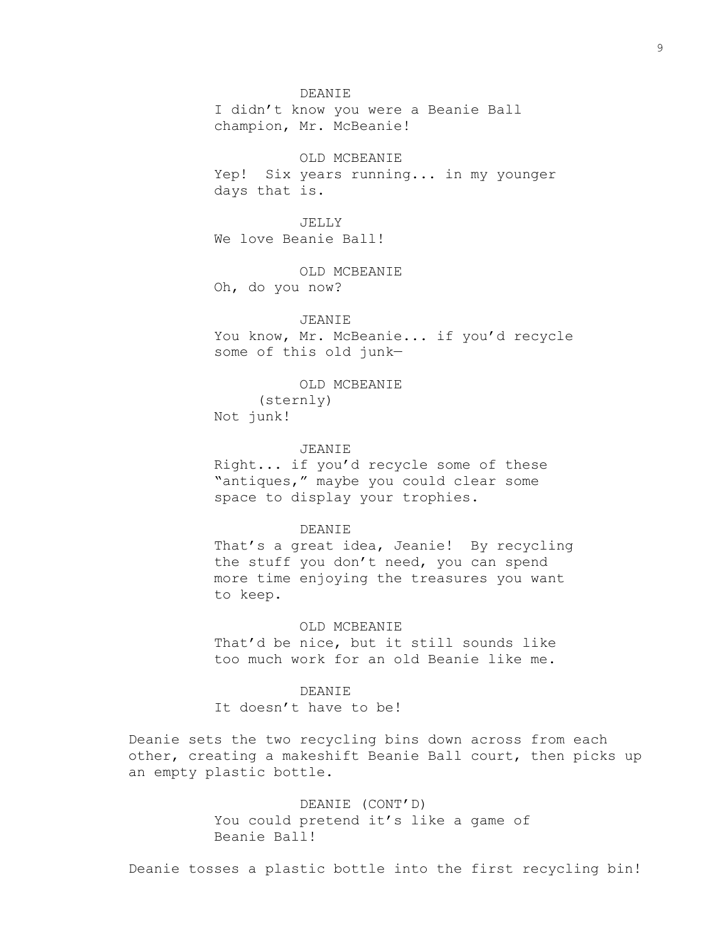### DEANIE

I didn't know you were a Beanie Ball champion, Mr. McBeanie!

OLD MCBEANIE Yep! Six years running... in my younger days that is.

JELLY We love Beanie Ball!

OLD MCBEANIE Oh, do you now?

### JEANIE

You know, Mr. McBeanie... if you'd recycle some of this old junk—

OLD MCBEANIE

(sternly) Not junk!

### JEANIE

Right... if you'd recycle some of these "antiques," maybe you could clear some space to display your trophies.

### DEANIE

That's a great idea, Jeanie! By recycling the stuff you don't need, you can spend more time enjoying the treasures you want to keep.

### OLD MCBEANIE

That'd be nice, but it still sounds like too much work for an old Beanie like me.

### DEANIE

It doesn't have to be!

Deanie sets the two recycling bins down across from each other, creating a makeshift Beanie Ball court, then picks up an empty plastic bottle.

> DEANIE (CONT'D) You could pretend it's like a game of Beanie Ball!

Deanie tosses a plastic bottle into the first recycling bin!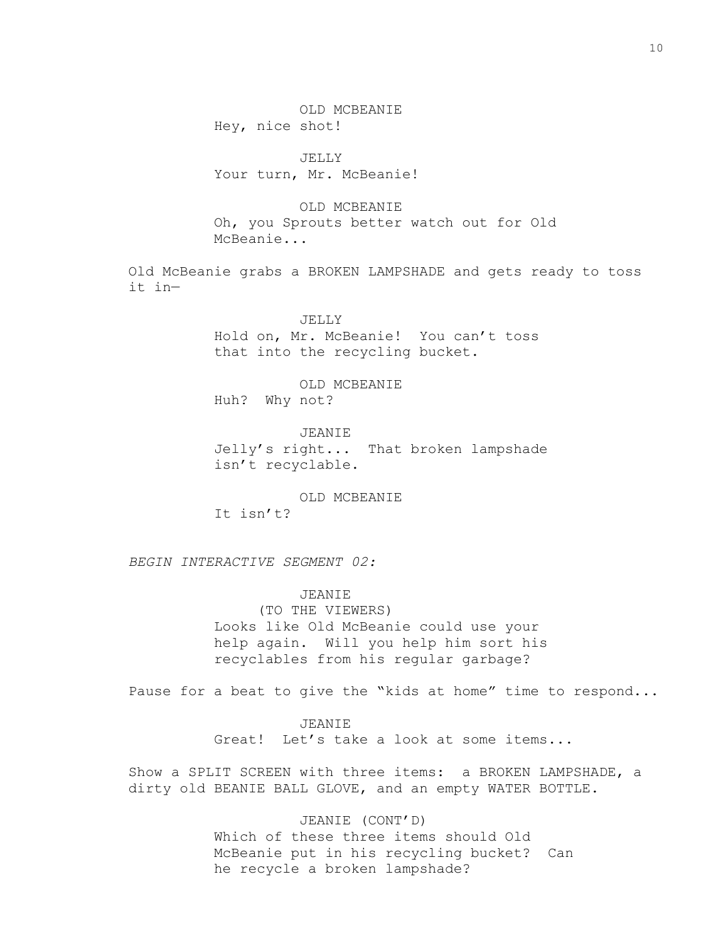OLD MCBEANIE Hey, nice shot!

JELLY Your turn, Mr. McBeanie!

OLD MCBEANIE Oh, you Sprouts better watch out for Old McBeanie...

Old McBeanie grabs a BROKEN LAMPSHADE and gets ready to toss it in—

> JELLY Hold on, Mr. McBeanie! You can't toss that into the recycling bucket.

OLD MCBEANIE Huh? Why not?

JEANIE Jelly's right... That broken lampshade isn't recyclable.

OLD MCBEANIE It isn't?

*BEGIN INTERACTIVE SEGMENT 02:*

JEANIE (TO THE VIEWERS) Looks like Old McBeanie could use your help again. Will you help him sort his recyclables from his regular garbage?

Pause for a beat to give the "kids at home" time to respond...

JEANIE Great! Let's take a look at some items...

Show a SPLIT SCREEN with three items: a BROKEN LAMPSHADE, a dirty old BEANIE BALL GLOVE, and an empty WATER BOTTLE.

> JEANIE (CONT'D) Which of these three items should Old McBeanie put in his recycling bucket? Can he recycle a broken lampshade?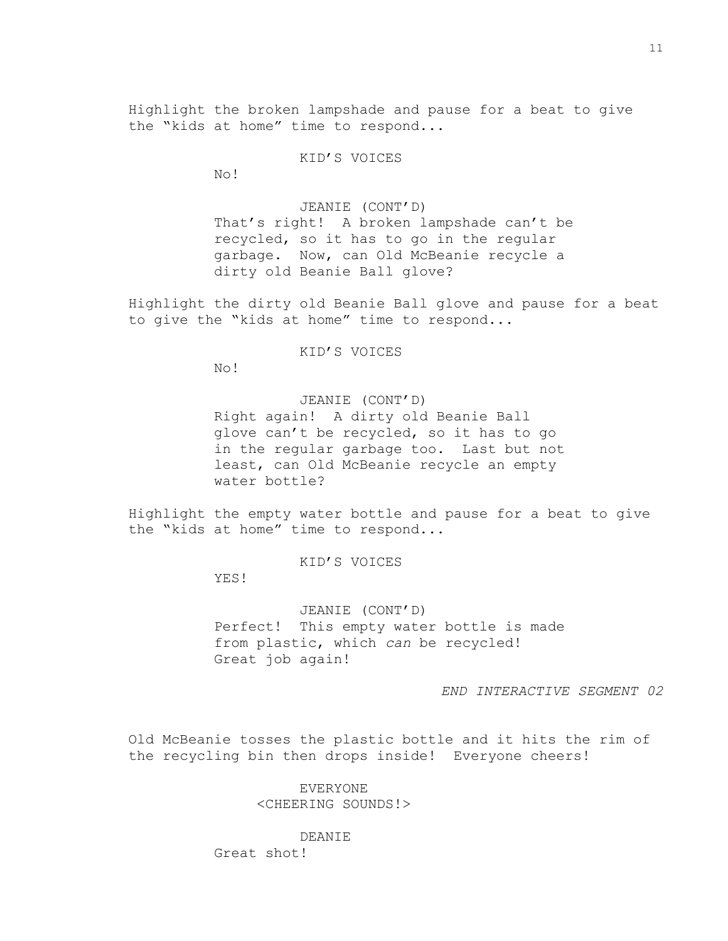Highlight the broken lampshade and pause for a beat to give the "kids at home" time to respond...

KID'S VOICES

No!

JEANIE (CONT'D) That's right! A broken lampshade can't be recycled, so it has to go in the regular garbage. Now, can Old McBeanie recycle a dirty old Beanie Ball glove?

Highlight the dirty old Beanie Ball glove and pause for a beat to give the "kids at home" time to respond...

KID'S VOICES

No!

JEANIE (CONT'D) Right again! A dirty old Beanie Ball glove can't be recycled, so it has to go in the regular garbage too. Last but not least, can Old McBeanie recycle an empty water bottle?

Highlight the empty water bottle and pause for a beat to give the "kids at home" time to respond...

KID'S VOICES

YES!

JEANIE (CONT'D) Perfect! This empty water bottle is made from plastic, which *can* be recycled! Great job again!

*END INTERACTIVE SEGMENT 02*

Old McBeanie tosses the plastic bottle and it hits the rim of the recycling bin then drops inside! Everyone cheers!

> EVERYONE <CHEERING SOUNDS!>

> > DEANIE

Great shot!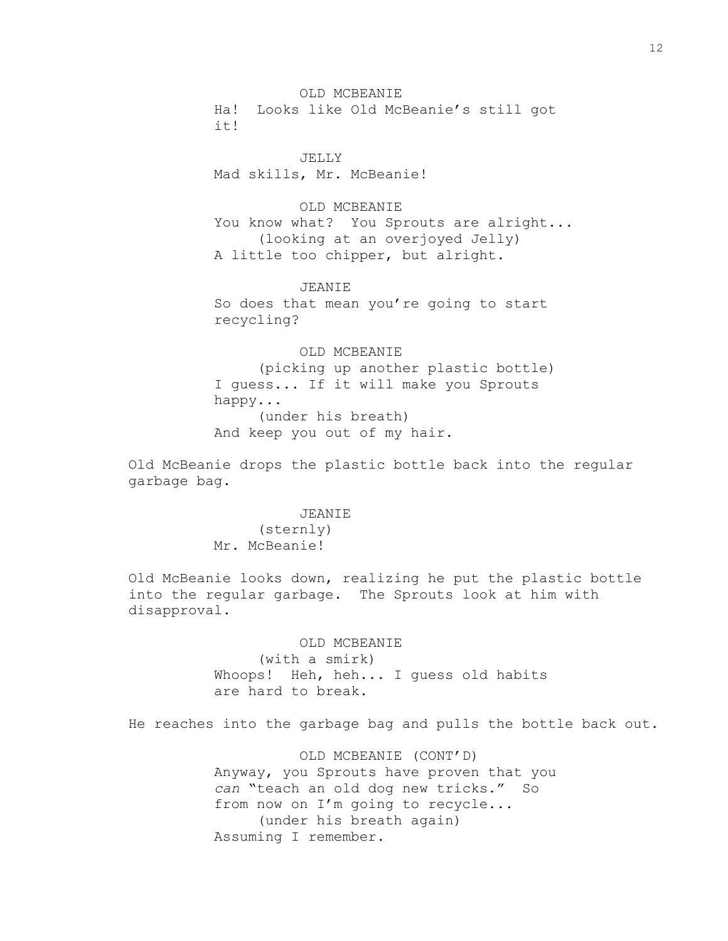OLD MCBEANIE Ha! Looks like Old McBeanie's still got it!

JELLY Mad skills, Mr. McBeanie!

OLD MCBEANIE You know what? You Sprouts are alright... (looking at an overjoyed Jelly) A little too chipper, but alright.

JEANIE So does that mean you're going to start recycling?

OLD MCBEANIE (picking up another plastic bottle) I guess... If it will make you Sprouts happy... (under his breath) And keep you out of my hair.

Old McBeanie drops the plastic bottle back into the regular garbage bag.

> JEANIE (sternly) Mr. McBeanie!

Old McBeanie looks down, realizing he put the plastic bottle into the regular garbage. The Sprouts look at him with disapproval.

> OLD MCBEANIE (with a smirk) Whoops! Heh, heh... I guess old habits are hard to break.

He reaches into the garbage bag and pulls the bottle back out.

OLD MCBEANIE (CONT'D) Anyway, you Sprouts have proven that you *can* "teach an old dog new tricks." So from now on I'm going to recycle... (under his breath again) Assuming I remember.